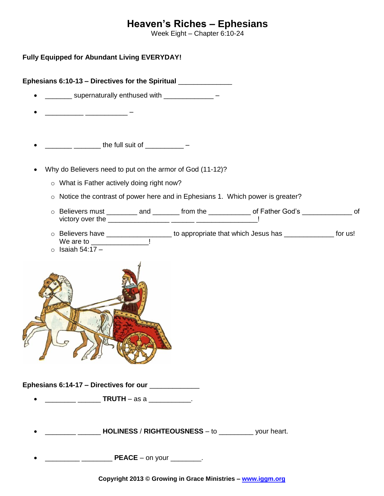## **Heaven's Riches – Ephesians**

Week Eight – Chapter 6:10-24

**Fully Equipped for Abundant Living EVERYDAY!**